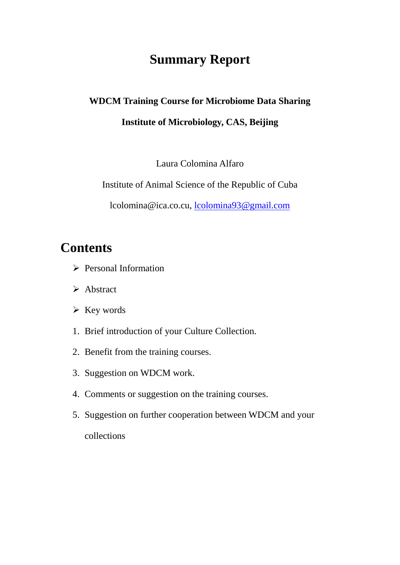# **Summary Report**

## **WDCM Training Course for Microbiome Data Sharing**

## **Institute of Microbiology, CAS, Beijing**

Laura Colomina Alfaro

Institute of Animal Science of the Republic of Cuba

lcolomina@ica.co.cu, [lcolomina93@gmail.com](mailto:lcolomina93@gmail.com)

# **Contents**

- $\triangleright$  Personal Information
- > Abstract
- $\triangleright$  Key words
- 1. Brief introduction of your Culture Collection.
- 2. Benefit from the training courses.
- 3. Suggestion on WDCM work.
- 4. Comments or suggestion on the training courses.
- 5. Suggestion on further cooperation between WDCM and your collections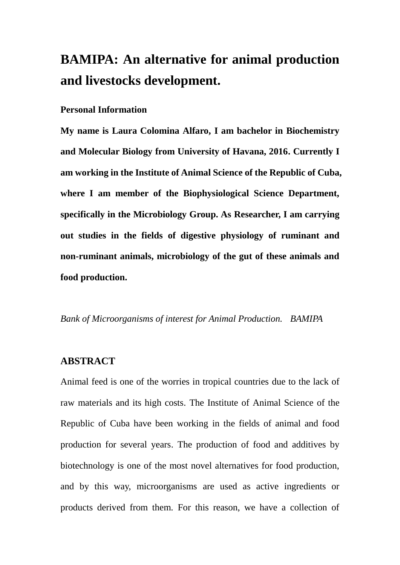# **BAMIPA: An alternative for animal production and livestocks development.**

#### **Personal Information**

**My name is Laura Colomina Alfaro, I am bachelor in Biochemistry and Molecular Biology from University of Havana, 2016. Currently I am working in the Institute of Animal Science of the Republic of Cuba, where I am member of the Biophysiological Science Department, specifically in the Microbiology Group. As Researcher, I am carrying out studies in the fields of digestive physiology of ruminant and non-ruminant animals, microbiology of the gut of these animals and food production.**

*Bank of Microorganisms of interest for Animal Production. BAMIPA*

#### **ABSTRACT**

Animal feed is one of the worries in tropical countries due to the lack of raw materials and its high costs. The Institute of Animal Science of the Republic of Cuba have been working in the fields of animal and food production for several years. The production of food and additives by biotechnology is one of the most novel alternatives for food production, and by this way, microorganisms are used as active ingredients or products derived from them. For this reason, we have a collection of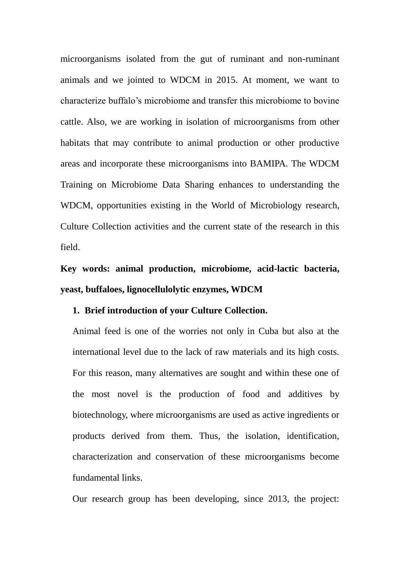microorganisms isolated from the gut of ruminant and non-ruminant animals and we jointed to WDCM in 2015. At moment, we want to characterize buffalo's microbiome and transfer this microbiome to bovine cattle. Also, we are working in isolation of microorganisms from other habitats that may contribute to animal production or other productive areas and incorporate these microorganisms into BAMIPA. The WDCM Training on Microbiome Data Sharing enhances to understanding the WDCM, opportunities existing in the World of Microbiology research, Culture Collection activities and the current state of the research in this field.

**Key words: animal production, microbiome, acid-lactic bacteria, yeast, buffaloes, lignocellulolytic enzymes, WDCM**

#### **1. Brief introduction of your Culture Collection.**

Animal feed is one of the worries not only in Cuba but also at the international level due to the lack of raw materials and its high costs. For this reason, many alternatives are sought and within these one of the most novel is the production of food and additives by biotechnology, where microorganisms are used as active ingredients or products derived from them. Thus, the isolation, identification, characterization and conservation of these microorganisms become fundamental links.

Our research group has been developing, since 2013, the project: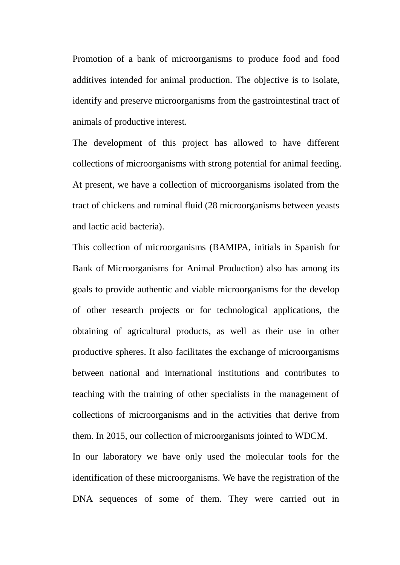Promotion of a bank of microorganisms to produce food and food additives intended for animal production. The objective is to isolate, identify and preserve microorganisms from the gastrointestinal tract of animals of productive interest.

The development of this project has allowed to have different collections of microorganisms with strong potential for animal feeding. At present, we have a collection of microorganisms isolated from the tract of chickens and ruminal fluid (28 microorganisms between yeasts and lactic acid bacteria).

This collection of microorganisms (BAMIPA, initials in Spanish for Bank of Microorganisms for Animal Production) also has among its goals to provide authentic and viable microorganisms for the develop of other research projects or for technological applications, the obtaining of agricultural products, as well as their use in other productive spheres. It also facilitates the exchange of microorganisms between national and international institutions and contributes to teaching with the training of other specialists in the management of collections of microorganisms and in the activities that derive from them. In 2015, our collection of microorganisms jointed to WDCM. In our laboratory we have only used the molecular tools for the identification of these microorganisms. We have the registration of the

DNA sequences of some of them. They were carried out in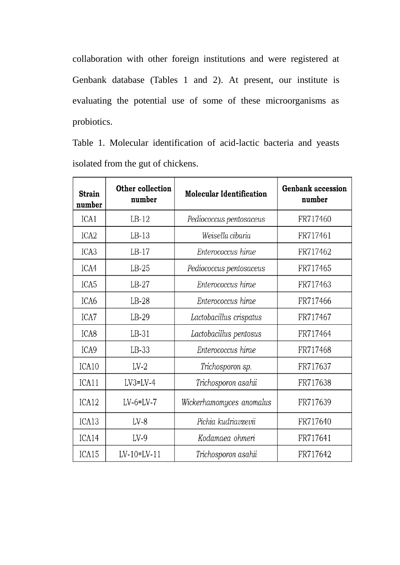collaboration with other foreign institutions and were registered at Genbank database (Tables 1 and 2). At present, our institute is evaluating the potential use of some of these microorganisms as probiotics.

Table 1. Molecular identification of acid-lactic bacteria and yeasts isolated from the gut of chickens.

| <b>Strain</b><br>number | Other collection<br>number | <b>Molecular Identification</b> | <b>Genbank accession</b><br>number |
|-------------------------|----------------------------|---------------------------------|------------------------------------|
| ICA1                    | $LB-12$                    | Pediococcus pentosaceus         | FR717460                           |
| ICA <sub>2</sub>        | $LB-13$                    | Weisella cibaria                | FR717461                           |
| ICA <sub>3</sub>        | $LB-17$                    | Enterococcus hirae              | FR717462                           |
| ICA4                    | $LB-25$                    | Pediococcus pentosaceus         | FR717465                           |
| ICA <sub>5</sub>        | $LB-27$                    | Enterococcus hirae              | FR717463                           |
| ICA6                    | $LB-28$                    | Enterococcus hirae              | FR717466                           |
| ICA7                    | $LB-29$                    | Lactobacillus crispatus         | FR717467                           |
| ICA <sub>8</sub>        | $LB-31$                    | Lactobacillus pentosus          | FR717464                           |
| ICA9                    | $LB-33$                    | Enterococcus hirae              | FR717468                           |
| ICA10                   | $LV-2$                     | Trichosporon sp.                | FR717637                           |
| ICA11                   | $LV3=LV-4$                 | Trichosporon asahii             | FR717638                           |
| ICA12                   | $LV-6=LV-7$                | Wickerhamomyces anomalus        | FR717639                           |
| ICA13                   | $LV-8$                     | Pichia kudriavzevii             | FR717640                           |
| ICA14                   | $LV-9$                     | Kodamaea ohmeri                 | FR717641                           |
| ICA15                   | $LV-10=LV-11$              | Trichosporon asahii             | FR717642                           |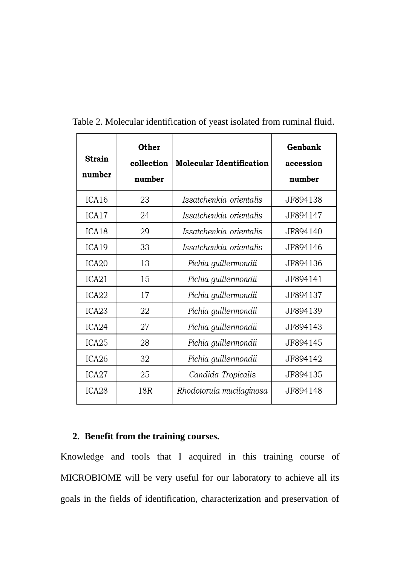| <b>Strain</b><br>number | <b>Other</b><br>collection<br>number | <b>Molecular Identification</b> | Genbank<br>accession<br>number |
|-------------------------|--------------------------------------|---------------------------------|--------------------------------|
| ICA16                   | 23                                   | Issatchenkia orientalis         | JF894138                       |
| ICA17                   | 24                                   | Issatchenkia orientalis         | JF894147                       |
| ICA <sub>18</sub>       | 29                                   | Issatchenkia orientalis         | JF894140                       |
| ICA19                   | 33                                   | Issatchenkia orientalis         | JF894146                       |
| ICA <sub>20</sub>       | 13                                   | Pichia guillermondii            | JF894136                       |
| ICA21                   | 15                                   | Pichia guillermondii            | JF894141                       |
| ICA <sub>22</sub>       | 17                                   | Pichia guillermondii            | JF894137                       |
| ICA <sub>23</sub>       | 22                                   | Pichia guillermondii            | JF894139                       |
| ICA <sub>24</sub>       | 27                                   | Pichia guillermondii            | JF894143                       |
| ICA <sub>25</sub>       | 28                                   | Pichia guillermondii            | JF894145                       |
| ICA <sub>26</sub>       | 32                                   | Pichia guillermondii            | JF894142                       |
| ICA <sub>27</sub>       | 25                                   | Candida Tropicalis              | JF894135                       |
| ICA <sub>28</sub>       | 18R                                  | Rhodotorula mucilaginosa        | JF894148                       |

Table 2. Molecular identification of yeast isolated from ruminal fluid.

### **2. Benefit from the training courses.**

Knowledge and tools that I acquired in this training course of MICROBIOME will be very useful for our laboratory to achieve all its goals in the fields of identification, characterization and preservation of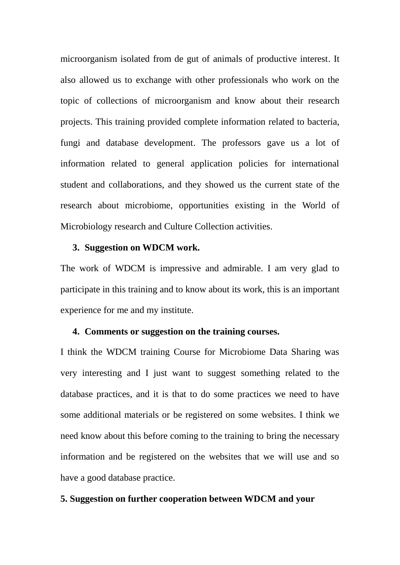microorganism isolated from de gut of animals of productive interest. It also allowed us to exchange with other professionals who work on the topic of collections of microorganism and know about their research projects. This training provided complete information related to bacteria, fungi and database development. The professors gave us a lot of information related to general application policies for international student and collaborations, and they showed us the current state of the research about microbiome, opportunities existing in the World of Microbiology research and Culture Collection activities.

#### **3. Suggestion on WDCM work.**

The work of WDCM is impressive and admirable. I am very glad to participate in this training and to know about its work, this is an important experience for me and my institute.

#### **4. Comments or suggestion on the training courses.**

I think the WDCM training Course for Microbiome Data Sharing was very interesting and I just want to suggest something related to the database practices, and it is that to do some practices we need to have some additional materials or be registered on some websites. I think we need know about this before coming to the training to bring the necessary information and be registered on the websites that we will use and so have a good database practice.

#### **5. Suggestion on further cooperation between WDCM and your**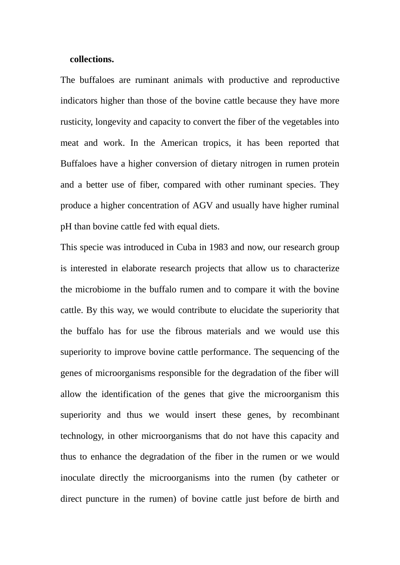#### **collections.**

The buffaloes are ruminant animals with productive and reproductive indicators higher than those of the bovine cattle because they have more rusticity, longevity and capacity to convert the fiber of the vegetables into meat and work. In the American tropics, it has been reported that Buffaloes have a higher conversion of dietary nitrogen in rumen protein and a better use of fiber, compared with other ruminant species. They produce a higher concentration of AGV and usually have higher ruminal pH than bovine cattle fed with equal diets.

This specie was introduced in Cuba in 1983 and now, our research group is interested in elaborate research projects that allow us to characterize the microbiome in the buffalo rumen and to compare it with the bovine cattle. By this way, we would contribute to elucidate the superiority that the buffalo has for use the fibrous materials and we would use this superiority to improve bovine cattle performance. The sequencing of the genes of microorganisms responsible for the degradation of the fiber will allow the identification of the genes that give the microorganism this superiority and thus we would insert these genes, by recombinant technology, in other microorganisms that do not have this capacity and thus to enhance the degradation of the fiber in the rumen or we would inoculate directly the microorganisms into the rumen (by catheter or direct puncture in the rumen) of bovine cattle just before de birth and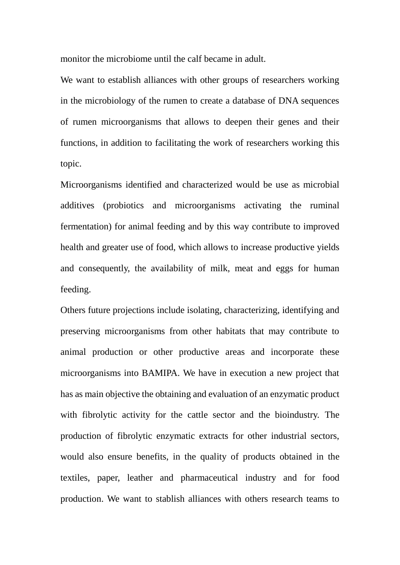monitor the microbiome until the calf became in adult.

We want to establish alliances with other groups of researchers working in the microbiology of the rumen to create a database of DNA sequences of rumen microorganisms that allows to deepen their genes and their functions, in addition to facilitating the work of researchers working this topic.

Microorganisms identified and characterized would be use as microbial additives (probiotics and microorganisms activating the ruminal fermentation) for animal feeding and by this way contribute to improved health and greater use of food, which allows to increase productive yields and consequently, the availability of milk, meat and eggs for human feeding.

Others future projections include isolating, characterizing, identifying and preserving microorganisms from other habitats that may contribute to animal production or other productive areas and incorporate these microorganisms into BAMIPA. We have in execution a new project that has as main objective the obtaining and evaluation of an enzymatic product with fibrolytic activity for the cattle sector and the bioindustry. The production of fibrolytic enzymatic extracts for other industrial sectors, would also ensure benefits, in the quality of products obtained in the textiles, paper, leather and pharmaceutical industry and for food production. We want to stablish alliances with others research teams to